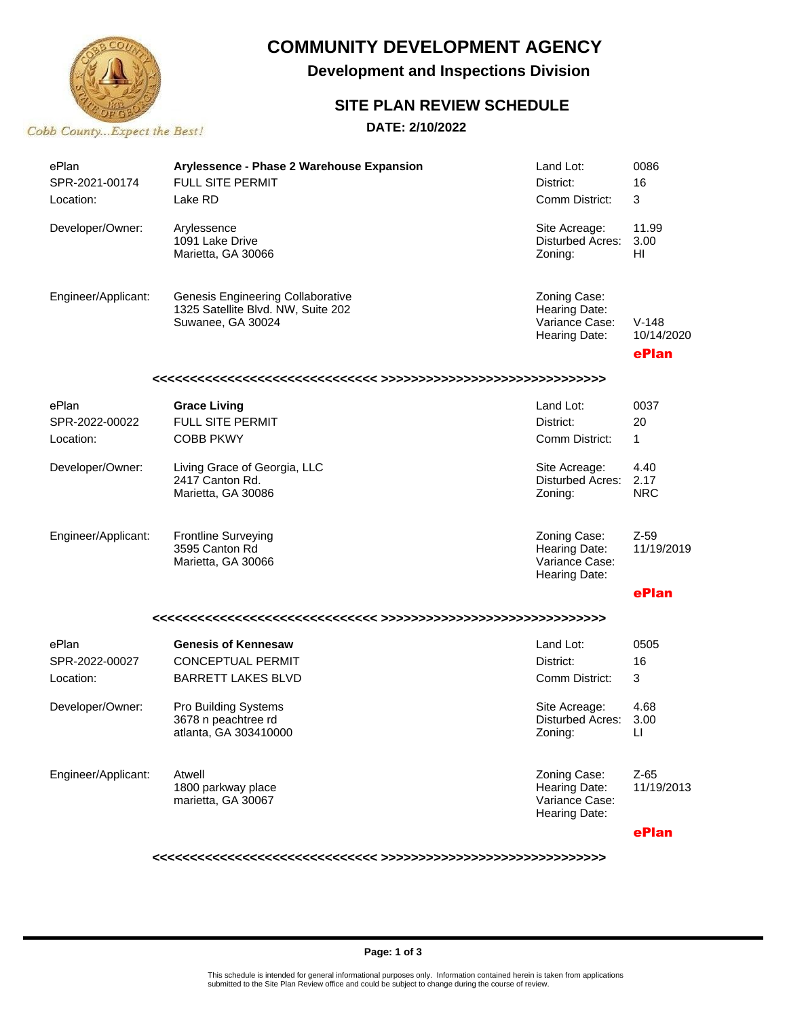

## **COMMUNITY DEVELOPMENT AGENCY**

**Development and Inspections Division**

#### **SITE PLAN REVIEW SCHEDULE**

**DATE: 2/10/2022**

| ePlan<br>SPR-2021-00174<br>Location: | Arylessence - Phase 2 Warehouse Expansion<br><b>FULL SITE PERMIT</b><br>Lake RD                     | Land Lot:<br>District:<br>Comm District:                         | 0086<br>16<br>3                |
|--------------------------------------|-----------------------------------------------------------------------------------------------------|------------------------------------------------------------------|--------------------------------|
| Developer/Owner:                     | Arylessence<br>1091 Lake Drive<br>Marietta, GA 30066                                                | Site Acreage:<br>Disturbed Acres:<br>Zoning:                     | 11.99<br>3.00<br>ΗI            |
| Engineer/Applicant:                  | <b>Genesis Engineering Collaborative</b><br>1325 Satellite Blvd. NW, Suite 202<br>Suwanee, GA 30024 | Zoning Case:<br>Hearing Date:<br>Variance Case:<br>Hearing Date: | $V-148$<br>10/14/2020<br>ePlan |
|                                      |                                                                                                     |                                                                  |                                |
| ePlan                                | <b>Grace Living</b>                                                                                 | Land Lot:                                                        | 0037                           |
| SPR-2022-00022                       | <b>FULL SITE PERMIT</b>                                                                             | District:                                                        | 20                             |
| Location:                            | <b>COBB PKWY</b>                                                                                    | Comm District:                                                   | $\mathbf{1}$                   |
| Developer/Owner:                     | Living Grace of Georgia, LLC<br>2417 Canton Rd.<br>Marietta, GA 30086                               | Site Acreage:<br>Disturbed Acres:<br>Zoning:                     | 4.40<br>2.17<br><b>NRC</b>     |
| Engineer/Applicant:                  | <b>Frontline Surveying</b><br>3595 Canton Rd<br>Marietta, GA 30066                                  | Zoning Case:<br>Hearing Date:<br>Variance Case:<br>Hearing Date: | $Z-59$<br>11/19/2019           |
|                                      |                                                                                                     |                                                                  | ePlan                          |
|                                      |                                                                                                     |                                                                  |                                |
| ePlan                                | <b>Genesis of Kennesaw</b>                                                                          | Land Lot:                                                        | 0505                           |
| SPR-2022-00027                       | <b>CONCEPTUAL PERMIT</b>                                                                            | District:                                                        | 16                             |
| Location:                            | <b>BARRETT LAKES BLVD</b>                                                                           | Comm District:                                                   | 3                              |
| Developer/Owner:                     | Pro Building Systems<br>3678 n peachtree rd<br>atlanta, GA 303410000                                | Site Acreage:<br>Disturbed Acres:<br>Zoning:                     | 4.68<br>3.00<br>LI             |
| Engineer/Applicant:                  | Atwell<br>1800 parkway place<br>marietta, GA 30067                                                  | Zoning Case:<br>Hearing Date:<br>Variance Case:<br>Hearing Date: | $Z-65$<br>11/19/2013           |
|                                      |                                                                                                     |                                                                  | ePlan                          |

**<<<<<<<<<<<<<<<<<<<<<<<<<<<<<< >>>>>>>>>>>>>>>>>>>>>>>>>>>>>>**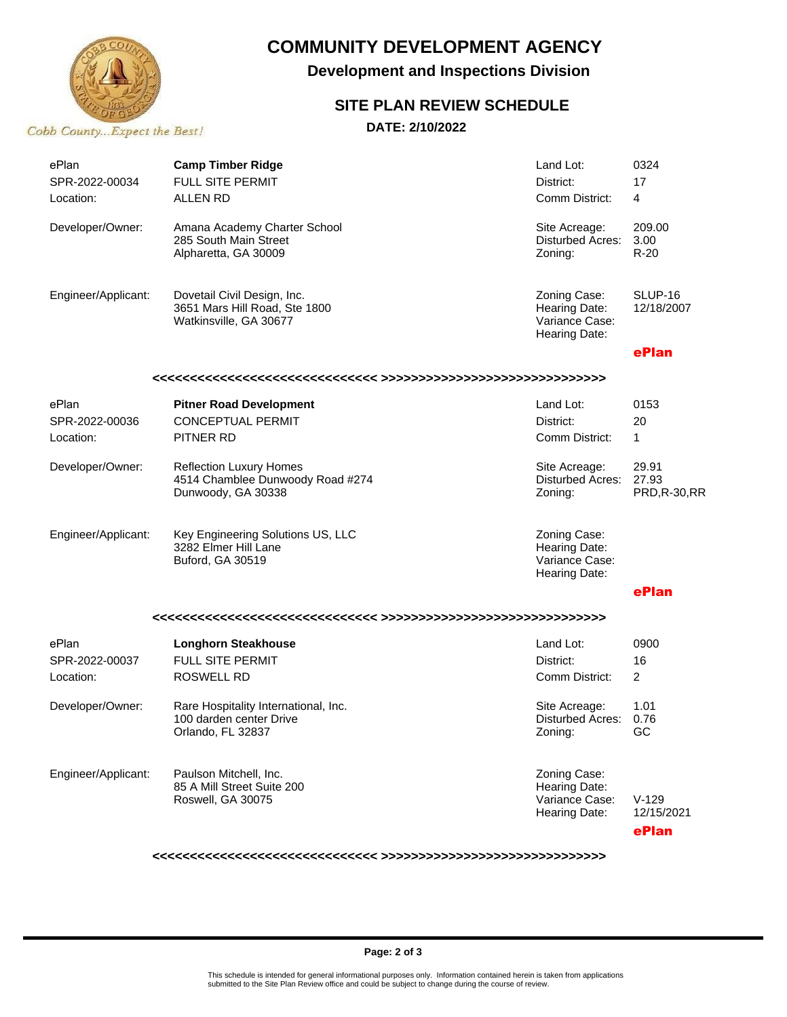

### **COMMUNITY DEVELOPMENT AGENCY**

**Development and Inspections Division**

#### **SITE PLAN REVIEW SCHEDULE**

**DATE: 2/10/2022**

| ePlan               | <b>Camp Timber Ridge</b>                                                                 | Land Lot:                                                        | 0324                                   |  |  |  |  |
|---------------------|------------------------------------------------------------------------------------------|------------------------------------------------------------------|----------------------------------------|--|--|--|--|
| SPR-2022-00034      | <b>FULL SITE PERMIT</b>                                                                  | District:                                                        | 17                                     |  |  |  |  |
| Location:           | <b>ALLEN RD</b>                                                                          | Comm District:                                                   | 4                                      |  |  |  |  |
| Developer/Owner:    | Amana Academy Charter School<br>285 South Main Street<br>Alpharetta, GA 30009            | Site Acreage:<br><b>Disturbed Acres:</b><br>Zoning:              | 209.00<br>3.00<br>$R-20$               |  |  |  |  |
| Engineer/Applicant: | Dovetail Civil Design, Inc.<br>3651 Mars Hill Road, Ste 1800<br>Watkinsville, GA 30677   | Zoning Case:<br>Hearing Date:<br>Variance Case:<br>Hearing Date: | SLUP-16<br>12/18/2007                  |  |  |  |  |
|                     |                                                                                          |                                                                  | ePlan                                  |  |  |  |  |
|                     |                                                                                          |                                                                  |                                        |  |  |  |  |
| ePlan               | <b>Pitner Road Development</b>                                                           | Land Lot:                                                        | 0153                                   |  |  |  |  |
| SPR-2022-00036      | <b>CONCEPTUAL PERMIT</b>                                                                 | District:                                                        | 20                                     |  |  |  |  |
| Location:           | PITNER RD                                                                                | Comm District:                                                   | $\mathbf{1}$                           |  |  |  |  |
| Developer/Owner:    | <b>Reflection Luxury Homes</b><br>4514 Chamblee Dunwoody Road #274<br>Dunwoody, GA 30338 | Site Acreage:<br><b>Disturbed Acres:</b><br>Zoning:              | 29.91<br>27.93<br><b>PRD, R-30, RR</b> |  |  |  |  |
| Engineer/Applicant: | Key Engineering Solutions US, LLC<br>3282 Elmer Hill Lane<br>Buford, GA 30519            | Zoning Case:<br>Hearing Date:<br>Variance Case:<br>Hearing Date: |                                        |  |  |  |  |
|                     |                                                                                          |                                                                  | ePlan                                  |  |  |  |  |
|                     |                                                                                          |                                                                  |                                        |  |  |  |  |
| ePlan               | <b>Longhorn Steakhouse</b>                                                               | Land Lot:                                                        | 0900                                   |  |  |  |  |
| SPR-2022-00037      | FULL SITE PERMIT                                                                         | District:                                                        | 16                                     |  |  |  |  |
| Location:           | <b>ROSWELL RD</b>                                                                        | Comm District:                                                   | $\overline{2}$                         |  |  |  |  |
| Developer/Owner:    | Rare Hospitality International, Inc.<br>100 darden center Drive<br>Orlando, FL 32837     | Site Acreage:<br>Disturbed Acres:<br>Zoning:                     | 1.01<br>0.76<br>GC                     |  |  |  |  |
| Engineer/Applicant: | Paulson Mitchell, Inc.<br>85 A Mill Street Suite 200<br>Roswell, GA 30075                | Zoning Case:<br>Hearing Date:<br>Variance Case:<br>Hearing Date: | $V-129$<br>12/15/2021                  |  |  |  |  |
|                     |                                                                                          |                                                                  | ePlan                                  |  |  |  |  |

**<<<<<<<<<<<<<<<<<<<<<<<<<<<<<< >>>>>>>>>>>>>>>>>>>>>>>>>>>>>>**